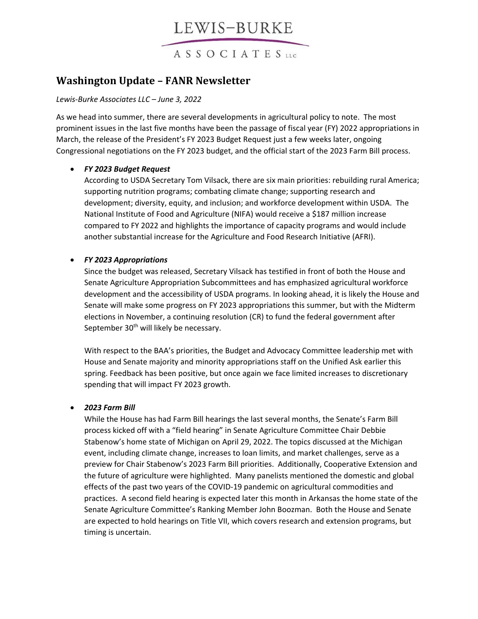# LEWIS-BURKE

ASSOCIATES

### **Washington Update – FANR Newsletter**

#### *Lewis-Burke Associates LLC – June 3, 2022*

As we head into summer, there are several developments in agricultural policy to note. The most prominent issues in the last five months have been the passage of fiscal year (FY) 2022 appropriations in March, the release of the President's FY 2023 Budget Request just a few weeks later, ongoing Congressional negotiations on the FY 2023 budget, and the official start of the 2023 Farm Bill process.

#### • *FY 2023 Budget Request*

According to USDA Secretary Tom Vilsack, there are six main priorities: rebuilding rural America; supporting nutrition programs; combating climate change; supporting research and development; diversity, equity, and inclusion; and workforce development within USDA. The National Institute of Food and Agriculture (NIFA) would receive a \$187 million increase compared to FY 2022 and highlights the importance of capacity programs and would include another substantial increase for the Agriculture and Food Research Initiative (AFRI).

#### • *FY 2023 Appropriations*

Since the budget was released, Secretary Vilsack has testified in front of both the House and Senate Agriculture Appropriation Subcommittees and has emphasized agricultural workforce development and the accessibility of USDA programs. In looking ahead, it is likely the House and Senate will make some progress on FY 2023 appropriations this summer, but with the Midterm elections in November, a continuing resolution (CR) to fund the federal government after September 30<sup>th</sup> will likely be necessary.

With respect to the BAA's priorities, the Budget and Advocacy Committee leadership met with House and Senate majority and minority appropriations staff on the Unified Ask earlier this spring. Feedback has been positive, but once again we face limited increases to discretionary spending that will impact FY 2023 growth.

#### • *2023 Farm Bill*

While the House has had Farm Bill hearings the last several months, the Senate's Farm Bill process kicked off with a "field hearing" in Senate Agriculture Committee Chair Debbie Stabenow's home state of Michigan on April 29, 2022. The topics discussed at the Michigan event, including climate change, increases to loan limits, and market challenges, serve as a preview for Chair Stabenow's 2023 Farm Bill priorities. Additionally, Cooperative Extension and the future of agriculture were highlighted. Many panelists mentioned the domestic and global effects of the past two years of the COVID-19 pandemic on agricultural commodities and practices. A second field hearing is expected later this month in Arkansas the home state of the Senate Agriculture Committee's Ranking Member John Boozman. Both the House and Senate are expected to hold hearings on Title VII, which covers research and extension programs, but timing is uncertain.